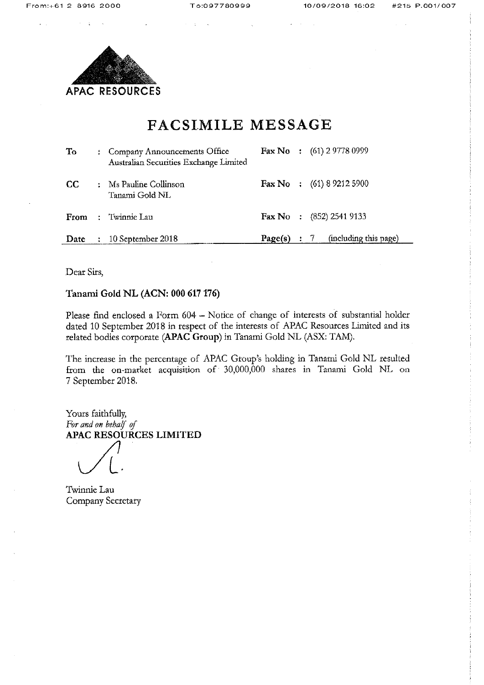

# FACSIMILE MESSAGE

| To   | : Company Announcements Office<br>Australian Securities Exchange Limited |         | <b>Fax No</b> : $(61)$ 2 9778 0999   |
|------|--------------------------------------------------------------------------|---------|--------------------------------------|
| CC.  | : Ms Pauline Collinson<br>Tanami Gold NL                                 |         | <b>Fax No</b> : $(61) 8 9212 5900$   |
| From | : Twinnie Lau                                                            |         | <b>Fax No</b> : $(852)$ 2541 9133    |
| Date | 10 September 2018                                                        | Page(s) | (including this page)<br>$\cdot$ : 7 |

Dear Sirs,

Tanami Gold NL (ACN: 000 617 176)

Please find enclosed a Form 604 - Notice of change of interests of substantial holder dated 10 September 2018 in respect of the interests of APAC Resources Limited and its related bodies corporate (APAC Group) in Tanami Gold NL (ASX: TAM).

The increase in the percentage of APAC Group's holding in Tanami Gold NL resulted from the on-market acquisition of 30,000,000 shares in Tanami Gold NL on 7 September 2018.

Yours faithfully, For and on behalf of APAC RESOURCES LIMITED

Twinnie Lau Company Secretary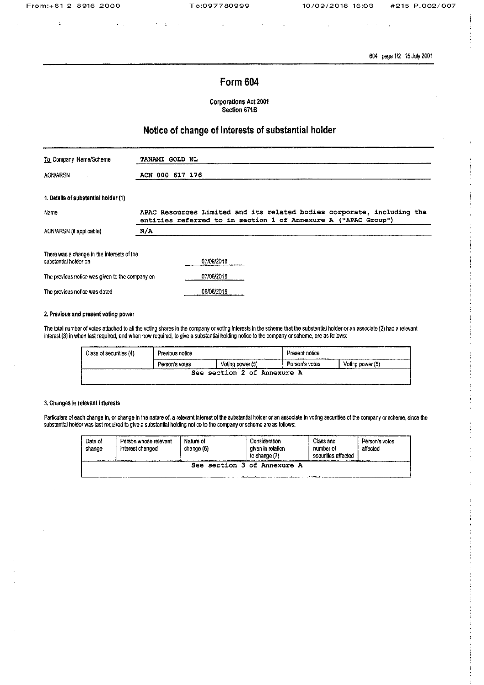$\mathcal{L}=\mathcal{L}$ 

 $\ddot{\phantom{a}}$  $\sim$ 

604 page 1/2 15 July 2001

## Form 604

 $\alpha = 1/\alpha$ 

**Corporations Act 2001** Section 671B

## Notice of change of interests of substantial holder

| To Company Name/Scheme                                              | TANAMI GOLD NL                                                                                                                           |
|---------------------------------------------------------------------|------------------------------------------------------------------------------------------------------------------------------------------|
| <b>ACN/ARSN</b>                                                     | ACN 000 617 176                                                                                                                          |
| 1. Details of substantial holder (1)                                |                                                                                                                                          |
| Name                                                                | APAC Resources Limited and its related bodies corporate, including the<br>entities referred to in section 1 of Annexure A ("APAC Group") |
| ACN/ARSN (if applicable)                                            | N/A                                                                                                                                      |
| There was a change in the interests of the<br>substantial holder on | 07/09/2018                                                                                                                               |
| The previous notice was given to the company on                     | 07/06/2018                                                                                                                               |
| The previous notice was dated                                       | 06/06/2018                                                                                                                               |

## 2. Previous and present voting power

The total number of votes attached to all the voting shares in the company or voting interests in the scheme that the substantial holder or an associate (2) had a relevant interest (3) in when last required, and when now required, to give a substantial holding notice to the company or scheme, are as follows:

| Class of securities (4) | Previous notice |                         | Present notice |                  |  |
|-------------------------|-----------------|-------------------------|----------------|------------------|--|
|                         | Person's votes  | Voling power (5)        | Person's votes | Voting power (5) |  |
|                         | See             | section 2 of Annexure A |                |                  |  |

### 3. Changes in relevant interests

Particulars of each change in, or change in the nature of, a relevant interest of the substantial holder or an associate in voting securities of the company or scheme, since the substantial holder was last required to give a substantial holding notice to the company or scheme are as follows:

| Date of<br>change<br><b><i>DESCRIPTION OF A DIA</i></b> | Person whose relevant<br>interest changed | Nature of<br>change (6) | Consideration<br>given in relation<br>to change (7) | Class and<br>number of<br>securities affected | Person's votes<br>affected |  |
|---------------------------------------------------------|-------------------------------------------|-------------------------|-----------------------------------------------------|-----------------------------------------------|----------------------------|--|
| section 3 of Annexure A<br>See                          |                                           |                         |                                                     |                                               |                            |  |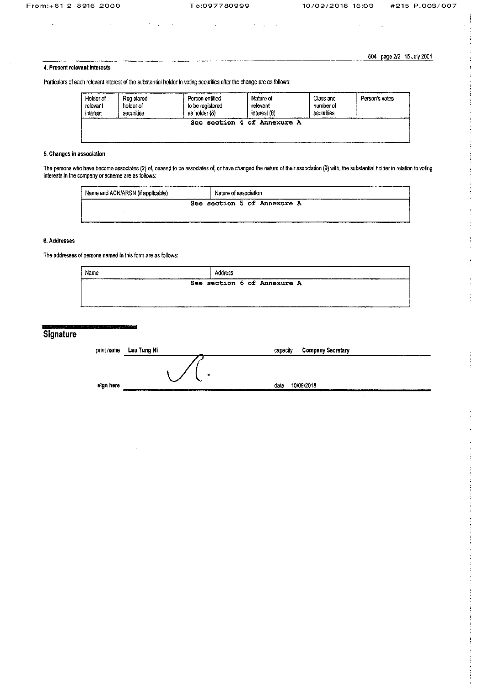$\sim 10$ 

 $\gamma=2$  ,  $\gamma=6$  .

To:097780999

 $\bar{z}$ 

10/09/2018 16:03

 $\hat{\boldsymbol{\beta}}$ 

 $\sim$   $\pm$ 

 $\hat{\boldsymbol{\beta}}$ 

#215 P.003/007

604 page 2/2 15 July 2001

## 4. Present relevant interests

Particulars of each relevant interest of the substantial holder in voting securities after the change are as follows:

 $\mathbf{u}$ 

 $\sigma = 1$ 

| Holder of | Registered | Person entitled  | Nature of                   | Class and  | Person's votes |
|-----------|------------|------------------|-----------------------------|------------|----------------|
| relevant  | holder of  | to be registered | relevant                    | number of  |                |
| interest  | securities | as holder (8)    | interest (6)                | securities |                |
|           |            |                  | See section 4 of Annexure A |            |                |

 $\sim 20-10$ 

 $\sim$   $\mu$ 

## 5. Changes in association

The persons who have become associates (2) of, ceased to be associates of, or have changed the nature of their association (9) with, the substantial holder in relation to voting<br>interests in the company or scheme are as fo

| ---------------<br>.<br>Name and ACN/ARSN (if applicable) | -------------<br>Nature of association |
|-----------------------------------------------------------|----------------------------------------|
|                                                           | See section 5 of Annexure A            |

## 6. Addresses

The addresses of persons named in this form are as follows:

| Name<br>______________ | Address |  |                             |  |
|------------------------|---------|--|-----------------------------|--|
| --                     |         |  | See section 6 of Annexure A |  |
|                        |         |  |                             |  |

# Signature

| print name | Lau Tung Ni    | <b>Company Secretary</b><br>capacity |  |
|------------|----------------|--------------------------------------|--|
|            |                |                                      |  |
|            | $\bullet$<br>∼ |                                      |  |
| sign here  |                | 10/09/2018<br>date                   |  |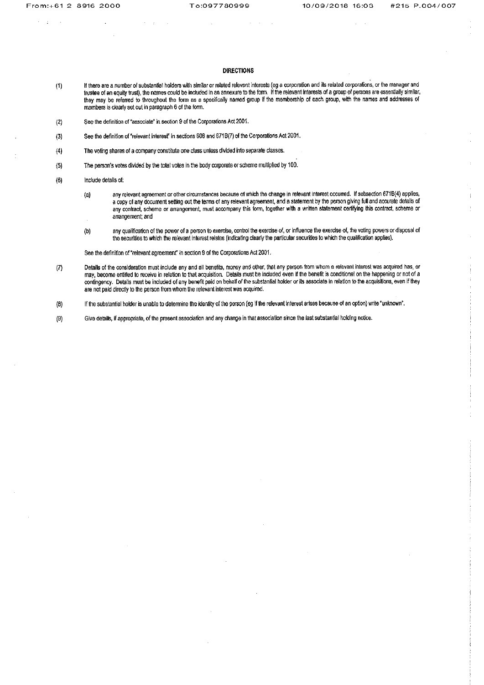$\mathbf{r}$ 

### **DIRECTIONS**

- If there are a number of substantial holders with similar or related relevant interests (eg a corporation and its related corporations, or the manager and<br>trustee of an equity trust), the names could be included in an anne  $(1)$ they may be referred to throughout the form as a specifically named group if the membership of each group, with the names and addresses of members is clearly set out in paragraph 6 of the form.
- See the definition of "associate" in section 9 of the Corporations Act 2001.  $(2)$
- See the definition of "relevant interest" in sections 608 and 671B(7) of the Corporations Act 2001.  $(3)$
- $(4)$ The voting shares of a company constitute one class unless divided into separate classes.
- The person's votes divided by the total votes in the body corporate or scheme multiplied by 100.  $(5)$
- $(6)$ Include details of:
	- any relevant agreement or other circumstances because of which the change in relevant interest occurred. If subsection 671B(4) applies,  $(a)$ a copy of any document setting out the terms of any relevant agreement, and a statement by the person giving full and accurate details of any contract, scheme or arrangement, must accompany this form, together with a written statement certifying this contract, scheme or arrangement; and
	- any qualification of the power of a person to exercise, control the exercise of, or influence the exercise of, the voting powers or disposal of  $(b)$ the securities to which the relevant interest relates (indicating clearly the particular securities to which the qualification applies).

See the definition of "relevant agreement" in section 9 of the Corporations Act 2001.

Details of the consideration must include any and all benefits, money and other, that any person from whom a relevant interest was acquired has, or  $(7)$ may, become entitled to receive in relation to that acquisition. Details must be included even if the benefit is conditional on the happening or not of a contingency. Details must be included of any benefit paid on behalf of the substantial holder or its associate in relation to the acquisitions, even if they are not paid directly to the person from whom the relevant interest was acquired.

If the substantial holder is unable to determine the identity of the person (eg if the relevant interest arises because of an option) write "unknown".  $(8)$ 

Give details, if appropriate, of the present association and any change in that association since the last substantial holding notice.  $(9)$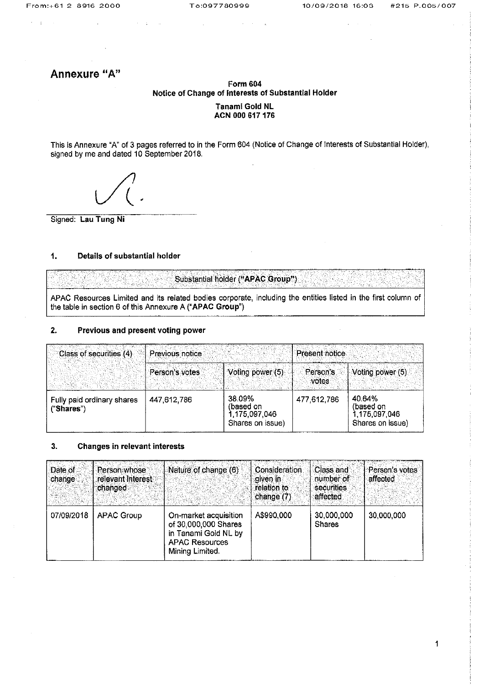## Annexure "A"

## **Form 604** Notice of Change of Interests of Substantial Holder Tanami Gold NL ACN 000 617 176

This is Annexure "A" of 3 pages referred to in the Form 604 (Notice of Change of Interests of Substantial Holder), signed by me and dated 10 September 2018.

Signed: Lau Tung Ni

#### $1.$ Details of substantial holder

Substantial holder ("APAC Group")

APAC Resources Limited and its related bodies corporate, including the entities listed in the first column of the table in section 6 of this Annexure A ("APAC Group")

#### $2.$ Previous and present voting power

| Class of securities (4)                  | Previous notice |                                                          | Present notice     |                                                          |
|------------------------------------------|-----------------|----------------------------------------------------------|--------------------|----------------------------------------------------------|
|                                          | Person's votes  | Voting power (5)                                         | Person's<br>wotes: | Voting power (5)                                         |
| Fully paid ordinary shares<br>("Shares") | 447,612,786     | 38.09%<br>(based on<br>1,175,097,046<br>Shares on issue) | 477,612,786        | 40.64%<br>(based on<br>1,175,097,046<br>Shares on issue) |

#### $3.$ Changes in relevant interests

| Date of<br>change | <b>Person whose</b><br>relevant interest<br>changed | Nature of change (6)                                                                                              | <b>Consideration</b><br>aiven in S<br>relation to<br>change $(7)$ | Class and<br>number of<br>securities<br>affected | Person's votes<br>affected |
|-------------------|-----------------------------------------------------|-------------------------------------------------------------------------------------------------------------------|-------------------------------------------------------------------|--------------------------------------------------|----------------------------|
| 07/09/2018        | <b>APAC Group</b>                                   | On-market acquisition<br>of 30,000,000 Shares<br>in Tanami Gold NL by<br><b>APAC Resources</b><br>Mining Limited. | A\$990,000                                                        | 30,000,000<br><b>Shares</b>                      | 30,000,000                 |

 $\overline{1}$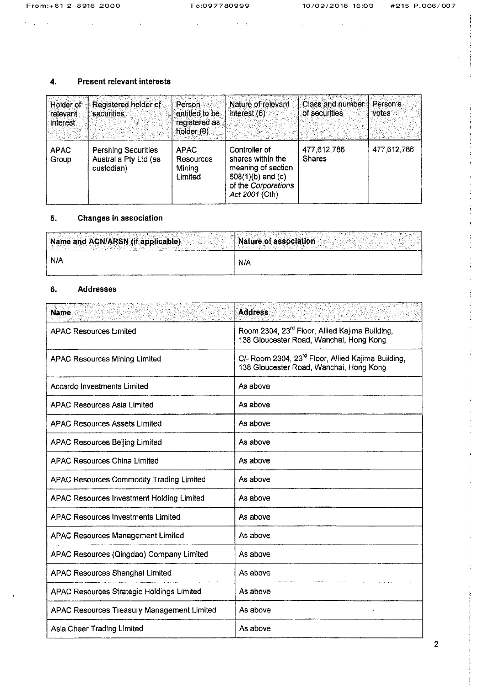$\epsilon=2$  , and  $\epsilon$ 

 $\mathcal{L}^{\mathcal{L}}$  and the set of the set of the set of the set of the set of the set of the set of the set of the set of the set of the set of the set of the set of the set of the set of the set of the set of the set of the

 $\label{eq:1} \mathcal{L}(\mathcal{L}^{\text{max}}_{\text{max}}(\mathbf{X}^{\text{max}}_{\text{max}}(\mathbf{X}^{\text{max}}_{\text{max}}(\mathbf{X}^{\text{max}}_{\text{max}})))$ 

#### $\ddot{\mathbf{4}}$ Present relevant interests

| Holder of<br>relevant<br>interest | Registered holder of<br>securities                                | Person<br>entitled to be<br>registered as<br>holder $(8)$ | Nature of relevant<br>interest $(6)$                                                                                       | Class and number<br>of securities | Person's<br>votes |
|-----------------------------------|-------------------------------------------------------------------|-----------------------------------------------------------|----------------------------------------------------------------------------------------------------------------------------|-----------------------------------|-------------------|
| <b>APAC</b><br>Group              | <b>Pershing Securities</b><br>Australia Pty Ltd (as<br>custodian) | <b>APAC</b><br>Resources<br>Mining<br>Limited             | Controller of<br>shares within the<br>meaning of section<br>$608(1)(b)$ and $(c)$<br>of the Corporations<br>Act 2001 (Cth) | 477,612,786<br><b>Shares</b>      | 477,612,786       |

#### **Changes in association** 5.

| Name and ACN/ARSN (if applicable) | Nature of association |
|-----------------------------------|-----------------------|
| N/A                               | N/A                   |

#### $6.$ **Addresses**

| <b>Name</b>                                      | <b>Address</b>                                                                                            |
|--------------------------------------------------|-----------------------------------------------------------------------------------------------------------|
| <b>APAC Resources Limited</b>                    | Room 2304, 23 <sup>rd</sup> Floor, Allied Kajima Building,<br>138 Gloucester Road, Wanchai, Hong Kong     |
| <b>APAC Resources Mining Limited</b>             | C/- Room 2304, 23 <sup>rd</sup> Floor, Allied Kajima Building,<br>138 Gloucester Road, Wanchai, Hong Kong |
| <b>Accardo Investments Limited</b>               | As above                                                                                                  |
| <b>APAC Resources Asia Limited</b>               | As above                                                                                                  |
| <b>APAC Resources Assets Limited</b>             | As above                                                                                                  |
| <b>APAC Resources Beiling Limited</b>            | As above                                                                                                  |
| <b>APAC Resources China Limited</b>              | As above                                                                                                  |
| APAC Resources Commodity Trading Limited         | As above                                                                                                  |
| APAC Resources Investment Holding Limited        | As above                                                                                                  |
| <b>APAC Resources Investments Limited</b>        | As above                                                                                                  |
| <b>APAC Resources Management Limited</b>         | As above                                                                                                  |
| APAC Resources (Qingdao) Company Limited         | As above                                                                                                  |
| APAC Resources Shanghai Limited                  | As above                                                                                                  |
| <b>APAC Resources Strategic Holdings Limited</b> | As above                                                                                                  |
| APAC Resources Treasury Management Limited       | As above                                                                                                  |
| Asia Cheer Trading Limited                       | As above                                                                                                  |

 $\overline{2}$